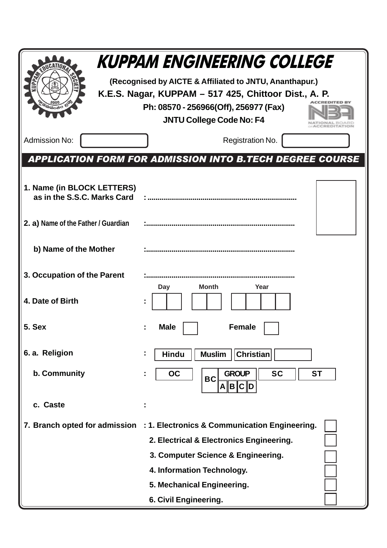|                                                           | <b>KUPPAM ENGINEERING COLLEGE</b>                                           |  |  |  |  |  |  |  |
|-----------------------------------------------------------|-----------------------------------------------------------------------------|--|--|--|--|--|--|--|
|                                                           | (Recognised by AICTE & Affiliated to JNTU, Ananthapur.)                     |  |  |  |  |  |  |  |
|                                                           | K.E.S. Nagar, KUPPAM – 517 425, Chittoor Dist., A. P.                       |  |  |  |  |  |  |  |
|                                                           | Ph: 08570 - 256966(Off), 256977 (Fax)                                       |  |  |  |  |  |  |  |
|                                                           | <b>JNTU College Code No: F4</b>                                             |  |  |  |  |  |  |  |
| <b>Admission No:</b>                                      | Registration No.                                                            |  |  |  |  |  |  |  |
|                                                           | <b>APPLICATION FORM FOR ADMISSION INTO B.TECH DEGREE COURSE</b>             |  |  |  |  |  |  |  |
|                                                           |                                                                             |  |  |  |  |  |  |  |
| 1. Name (in BLOCK LETTERS)<br>as in the S.S.C. Marks Card |                                                                             |  |  |  |  |  |  |  |
|                                                           |                                                                             |  |  |  |  |  |  |  |
| 2. a) Name of the Father / Guardian                       |                                                                             |  |  |  |  |  |  |  |
|                                                           |                                                                             |  |  |  |  |  |  |  |
| b) Name of the Mother                                     |                                                                             |  |  |  |  |  |  |  |
| 3. Occupation of the Parent                               |                                                                             |  |  |  |  |  |  |  |
|                                                           | <b>Month</b><br>Day<br>Year                                                 |  |  |  |  |  |  |  |
| 4. Date of Birth                                          |                                                                             |  |  |  |  |  |  |  |
| 5. Sex                                                    | <b>Female</b><br><b>Male</b>                                                |  |  |  |  |  |  |  |
|                                                           |                                                                             |  |  |  |  |  |  |  |
| 6. a. Religion                                            | <b>Hindu</b><br><b>Muslim</b><br><b>Christian</b>                           |  |  |  |  |  |  |  |
| b. Community                                              | <b>SC</b><br><b>GROUP</b><br><b>OC</b><br><b>ST</b>                         |  |  |  |  |  |  |  |
|                                                           | <b>BC</b><br>$A \  B \  C \  D$                                             |  |  |  |  |  |  |  |
| c. Caste                                                  |                                                                             |  |  |  |  |  |  |  |
|                                                           | 7. Branch opted for admission : 1. Electronics & Communication Engineering. |  |  |  |  |  |  |  |
|                                                           | 2. Electrical & Electronics Engineering.                                    |  |  |  |  |  |  |  |
|                                                           | 3. Computer Science & Engineering.                                          |  |  |  |  |  |  |  |
|                                                           | 4. Information Technology.                                                  |  |  |  |  |  |  |  |
|                                                           | 5. Mechanical Engineering.                                                  |  |  |  |  |  |  |  |
|                                                           | 6. Civil Engineering.                                                       |  |  |  |  |  |  |  |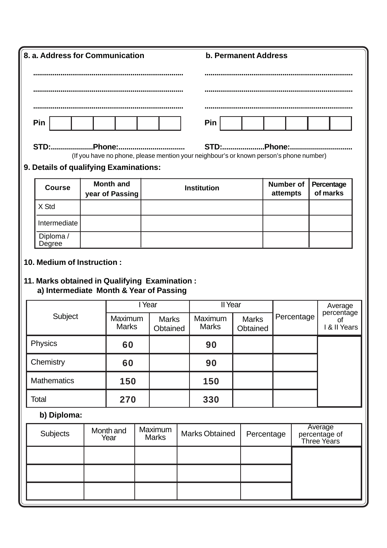| 8. a. Address for Communication |                                                                                                      |  |                         |                          |                         |  |                         | <b>b. Permanent Address</b> |                          |  |                              |                                         |  |
|---------------------------------|------------------------------------------------------------------------------------------------------|--|-------------------------|--------------------------|-------------------------|--|-------------------------|-----------------------------|--------------------------|--|------------------------------|-----------------------------------------|--|
|                                 |                                                                                                      |  |                         |                          |                         |  |                         |                             |                          |  |                              |                                         |  |
|                                 |                                                                                                      |  |                         |                          |                         |  |                         |                             |                          |  |                              |                                         |  |
|                                 |                                                                                                      |  |                         |                          |                         |  |                         |                             |                          |  |                              |                                         |  |
|                                 | Pin                                                                                                  |  |                         |                          |                         |  | Pin                     |                             |                          |  |                              |                                         |  |
|                                 | STD:Phone:<br>(If you have no phone, please mention your neighbour's or known person's phone number) |  |                         |                          |                         |  |                         |                             |                          |  |                              |                                         |  |
|                                 | 9. Details of qualifying Examinations:                                                               |  |                         |                          |                         |  |                         |                             |                          |  |                              |                                         |  |
|                                 | <b>Month and</b><br><b>Course</b>                                                                    |  | year of Passing         |                          |                         |  | <b>Institution</b>      |                             |                          |  | <b>Number of</b><br>attempts | Percentage<br>of marks                  |  |
|                                 | X Std                                                                                                |  |                         |                          |                         |  |                         |                             |                          |  |                              |                                         |  |
|                                 | Intermediate                                                                                         |  |                         |                          |                         |  |                         |                             |                          |  |                              |                                         |  |
|                                 | Diploma /<br>Degree                                                                                  |  |                         |                          |                         |  |                         |                             |                          |  |                              |                                         |  |
|                                 | 10. Medium of Instruction:                                                                           |  |                         |                          |                         |  |                         |                             |                          |  |                              |                                         |  |
|                                 | 11. Marks obtained in Qualifying Examination :                                                       |  |                         |                          |                         |  |                         |                             |                          |  |                              |                                         |  |
|                                 | a) Intermediate Month & Year of Passing                                                              |  |                         |                          |                         |  |                         |                             |                          |  |                              |                                         |  |
|                                 |                                                                                                      |  |                         | I Year                   |                         |  | Il Year                 |                             | Percentage               |  | Average<br>percentage        |                                         |  |
|                                 | Subject                                                                                              |  | Maximum<br><b>Marks</b> | <b>Marks</b><br>Obtained |                         |  | Maximum<br><b>Marks</b> |                             | <b>Marks</b><br>Obtained |  |                              | 0f<br>I & II Years                      |  |
|                                 | Physics                                                                                              |  | 60                      |                          |                         |  | 90                      |                             |                          |  |                              |                                         |  |
|                                 | Chemistry                                                                                            |  | 60                      |                          |                         |  | 90                      |                             |                          |  |                              |                                         |  |
|                                 | <b>Mathematics</b>                                                                                   |  | 150                     |                          |                         |  | 150                     |                             |                          |  |                              |                                         |  |
|                                 | Total                                                                                                |  | 270                     |                          |                         |  | 330                     |                             |                          |  |                              |                                         |  |
| b) Diploma:                     |                                                                                                      |  |                         |                          |                         |  |                         |                             |                          |  |                              |                                         |  |
|                                 |                                                                                                      |  |                         |                          |                         |  |                         |                             |                          |  |                              |                                         |  |
|                                 | <b>Subjects</b>                                                                                      |  | Month and<br>Year       |                          | Maximum<br><b>Marks</b> |  | <b>Marks Obtained</b>   |                             | Percentage               |  |                              | Average<br>percentage of<br>Three Years |  |
|                                 |                                                                                                      |  |                         |                          |                         |  |                         |                             |                          |  |                              |                                         |  |
|                                 |                                                                                                      |  |                         |                          |                         |  |                         |                             |                          |  |                              |                                         |  |